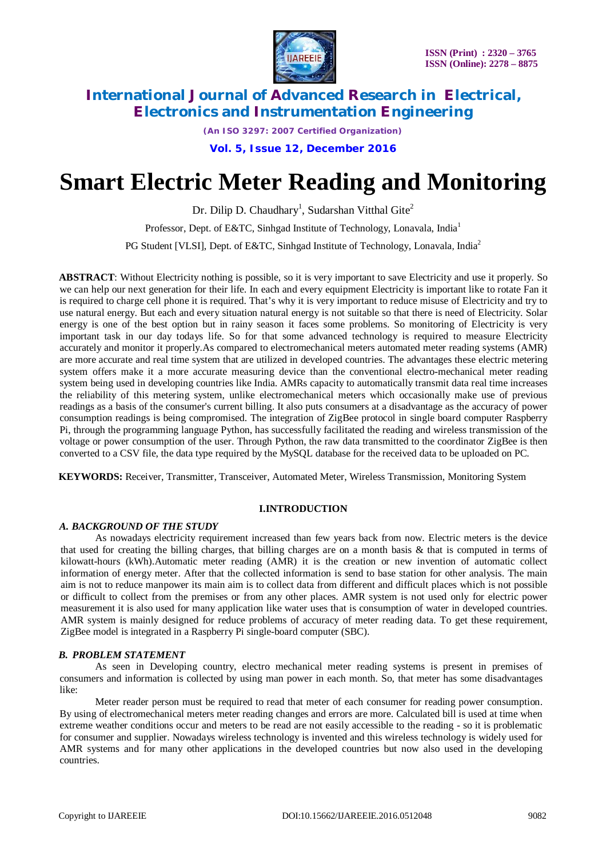

*(An ISO 3297: 2007 Certified Organization)*

**Vol. 5, Issue 12, December 2016**

# **Smart Electric Meter Reading and Monitoring**

Dr. Dilip D. Chaudhary<sup>1</sup>, Sudarshan Vitthal Gite<sup>2</sup>

Professor, Dept. of E&TC, Sinhgad Institute of Technology, Lonavala, India<sup>1</sup>

PG Student [VLSI], Dept. of E&TC, Sinhgad Institute of Technology, Lonavala, India<sup>2</sup>

**ABSTRACT**: Without Electricity nothing is possible, so it is very important to save Electricity and use it properly. So we can help our next generation for their life. In each and every equipment Electricity is important like to rotate Fan it is required to charge cell phone it is required. That's why it is very important to reduce misuse of Electricity and try to use natural energy. But each and every situation natural energy is not suitable so that there is need of Electricity. Solar energy is one of the best option but in rainy season it faces some problems. So monitoring of Electricity is very important task in our day todays life. So for that some advanced technology is required to measure Electricity accurately and monitor it properly.As compared to electromechanical meters automated meter reading systems (AMR) are more accurate and real time system that are utilized in developed countries. The advantages these electric metering system offers make it a more accurate measuring device than the conventional electro-mechanical meter reading system being used in developing countries like India. AMRs capacity to automatically transmit data real time increases the reliability of this metering system, unlike electromechanical meters which occasionally make use of previous readings as a basis of the consumer's current billing. It also puts consumers at a disadvantage as the accuracy of power consumption readings is being compromised. The integration of ZigBee protocol in single board computer Raspberry Pi, through the programming language Python, has successfully facilitated the reading and wireless transmission of the voltage or power consumption of the user. Through Python, the raw data transmitted to the coordinator ZigBee is then converted to a CSV file, the data type required by the MySQL database for the received data to be uploaded on PC.

**KEYWORDS:** Receiver, Transmitter, Transceiver, Automated Meter, Wireless Transmission, Monitoring System

### **I.INTRODUCTION**

### *A. BACKGROUND OF THE STUDY*

As nowadays electricity requirement increased than few years back from now. Electric meters is the device that used for creating the billing charges, that billing charges are on a month basis & that is computed in terms of kilowatt-hours (kWh).Automatic meter reading (AMR) it is the creation or new invention of automatic collect information of energy meter. After that the collected information is send to base station for other analysis. The main aim is not to reduce manpower its main aim is to collect data from different and difficult places which is not possible or difficult to collect from the premises or from any other places. AMR system is not used only for electric power measurement it is also used for many application like water uses that is consumption of water in developed countries. AMR system is mainly designed for reduce problems of accuracy of meter reading data. To get these requirement, ZigBee model is integrated in a Raspberry Pi single-board computer (SBC).

### *B. PROBLEM STATEMENT*

As seen in Developing country, electro mechanical meter reading systems is present in premises of consumers and information is collected by using man power in each month. So, that meter has some disadvantages like:

Meter reader person must be required to read that meter of each consumer for reading power consumption. By using of electromechanical meters meter reading changes and errors are more. Calculated bill is used at time when extreme weather conditions occur and meters to be read are not easily accessible to the reading - so it is problematic for consumer and supplier. Nowadays wireless technology is invented and this wireless technology is widely used for AMR systems and for many other applications in the developed countries but now also used in the developing countries.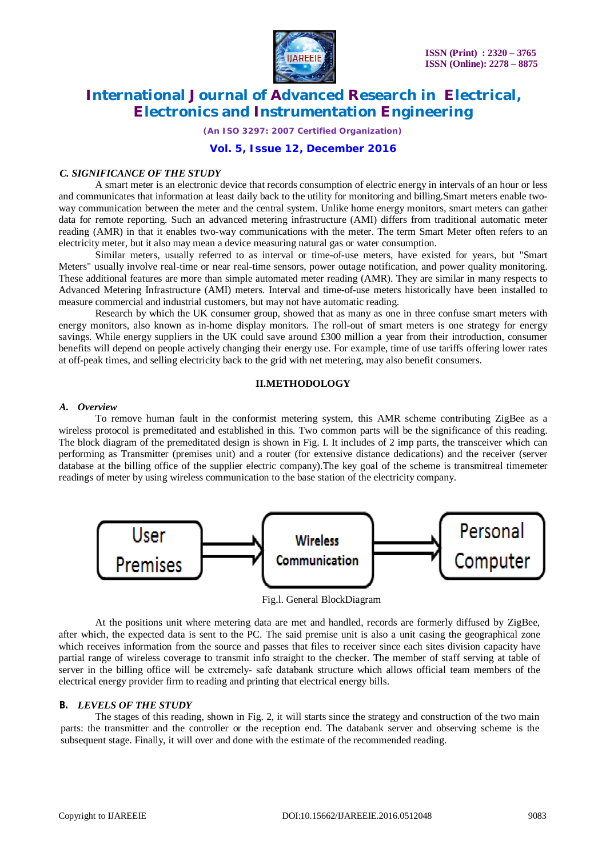

*(An ISO 3297: 2007 Certified Organization)*

### **Vol. 5, Issue 12, December 2016**

#### *C. SIGNIFICANCE OF THE STUDY*

A smart meter is an electronic device that records consumption of electric energy in intervals of an hour or less and communicates that information at least daily back to the utility for monitoring and billing.Smart meters enable twoway communication between the meter and the central system. Unlike home energy monitors, smart meters can gather data for remote reporting. Such an advanced metering infrastructure (AMI) differs from traditional automatic meter reading (AMR) in that it enables two-way communications with the meter. The term Smart Meter often refers to an electricity meter, but it also may mean a device measuring natural gas or water consumption.

Similar meters, usually referred to as interval or time-of-use meters, have existed for years, but "Smart Meters" usually involve real-time or near real-time sensors, power outage notification, and power quality monitoring. These additional features are more than simple automated meter reading (AMR). They are similar in many respects to Advanced Metering Infrastructure (AMI) meters. Interval and time-of-use meters historically have been installed to measure commercial and industrial customers, but may not have automatic reading.

Research by which the UK consumer group, showed that as many as one in three confuse smart meters with energy monitors, also known as in-home display monitors. The roll-out of smart meters is one strategy for energy savings. While energy suppliers in the UK could save around £300 million a year from their introduction, consumer benefits will depend on people actively changing their energy use. For example, time of use tariffs offering lower rates at off-peak times, and selling electricity back to the grid with net metering, may also benefit consumers.

### **II.METHODOLOGY**

#### *A. Overview*

To remove human fault in the conformist metering system, this AMR scheme contributing ZigBee as a wireless protocol is premeditated and established in this. Two common parts will be the significance of this reading. The block diagram of the premeditated design is shown in Fig. I. It includes of 2 imp parts, the transceiver which can performing as Transmitter (premises unit) and a router (for extensive distance dedications) and the receiver (server database at the billing office of the supplier electric company).The key goal of the scheme is transmitreal timemeter readings of meter by using wireless communication to the base station of the electricity company.



Fig.l. General BlockDiagram

At the positions unit where metering data are met and handled, records are formerly diffused by ZigBee, after which, the expected data is sent to the PC. The said premise unit is also a unit casing the geographical zone which receives information from the source and passes that files to receiver since each sites division capacity have partial range of wireless coverage to transmit info straight to the checker. The member of staff serving at table of server in the billing office will be extremely- safe databank structure which allows official team members of the electrical energy provider firm to reading and printing that electrical energy bills.

#### *B. LEVELS OF THE STUDY*

The stages of this reading, shown in Fig. 2, it will starts since the strategy and construction of the two main parts: the transmitter and the controller or the reception end. The databank server and observing scheme is the subsequent stage. Finally, it will over and done with the estimate of the recommended reading.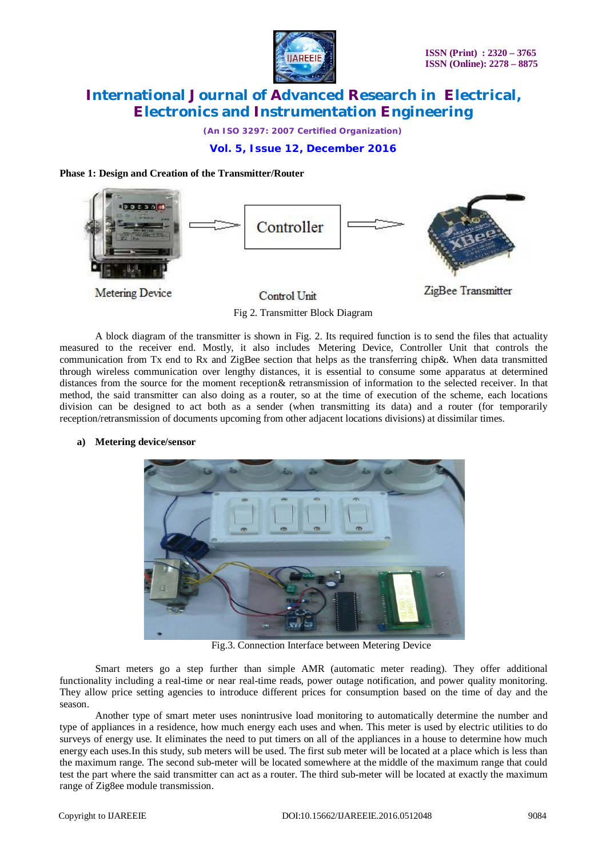

*(An ISO 3297: 2007 Certified Organization)*

### **Vol. 5, Issue 12, December 2016**

### **Phase 1: Design and Creation of the Transmitter/Router**



Fig 2. Transmitter Block Diagram

A block diagram of the transmitter is shown in Fig. 2. Its required function is to send the files that actuality measured to the receiver end. Mostly, it also includes Metering Device, Controller Unit that controls the communication from Tx end to Rx and ZigBee section that helps as the transferring chip&. When data transmitted through wireless communication over lengthy distances, it is essential to consume some apparatus at determined distances from the source for the moment reception& retransmission of information to the selected receiver. In that method, the said transmitter can also doing as a router, so at the time of execution of the scheme, each locations division can be designed to act both as a sender (when transmitting its data) and a router (for temporarily reception/retransmission of documents upcoming from other adjacent locations divisions) at dissimilar times.

**a) Metering device/sensor**



Fig.3. Connection Interface between Metering Device

Smart meters go a step further than simple AMR (automatic meter reading). They offer additional functionality including a real-time or near real-time reads, power outage notification, and power quality monitoring. They allow price setting agencies to introduce different prices for consumption based on the time of day and the season.

Another type of smart meter uses nonintrusive load monitoring to automatically determine the number and type of appliances in a residence, how much energy each uses and when. This meter is used by electric utilities to do surveys of energy use. It eliminates the need to put timers on all of the appliances in a house to determine how much energy each uses.In this study, sub meters will be used. The first sub meter will be located at a place which is less than the maximum range. The second sub-meter will be located somewhere at the middle of the maximum range that could test the part where the said transmitter can act as a router. The third sub-meter will be located at exactly the maximum range of Zig8ee module transmission.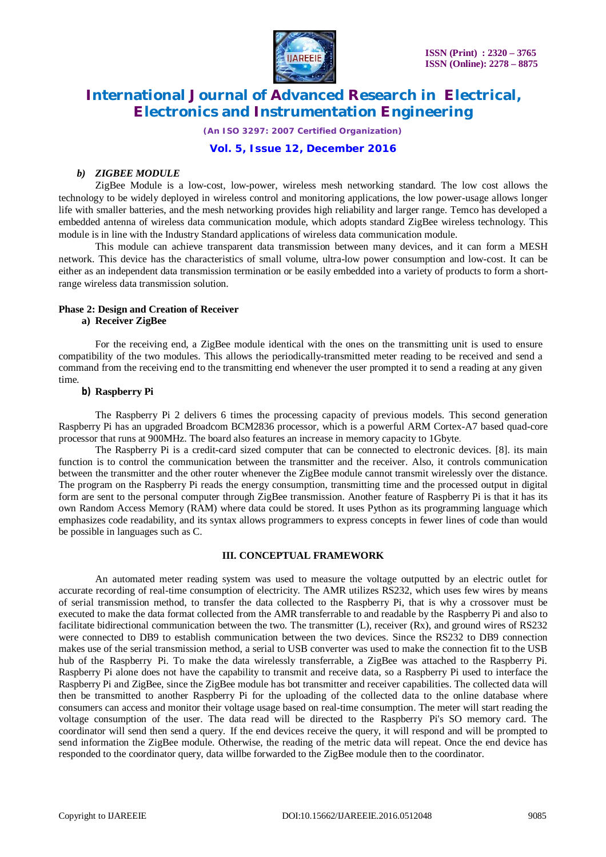

*(An ISO 3297: 2007 Certified Organization)*

### **Vol. 5, Issue 12, December 2016**

### *b) ZIGBEE MODULE*

ZigBee Module is a low-cost, low-power, wireless mesh networking standard. The low cost allows the technology to be widely deployed in wireless control and monitoring applications, the low power-usage allows longer life with smaller batteries, and the mesh networking provides high reliability and larger range. Temco has developed a embedded antenna of wireless data communication module, which adopts standard ZigBee wireless technology. This module is in line with the Industry Standard applications of wireless data communication module.

This module can achieve transparent data transmission between many devices, and it can form a MESH network. This device has the characteristics of small volume, ultra-low power consumption and low-cost. It can be either as an independent data transmission termination or be easily embedded into a variety of products to form a shortrange wireless data transmission solution.

### **Phase 2: Design and Creation of Receiver**

### **a) Receiver ZigBee**

For the receiving end, a ZigBee module identical with the ones on the transmitting unit is used to ensure compatibility of the two modules. This allows the periodically-transmitted meter reading to be received and send a command from the receiving end to the transmitting end whenever the user prompted it to send a reading at any given time.

### **b) Raspberry Pi**

The Raspberry Pi 2 delivers 6 times the processing capacity of previous models. This second generation Raspberry Pi has an upgraded Broadcom BCM2836 processor, which is a powerful ARM Cortex-A7 based quad-core processor that runs at 900MHz. The board also features an increase in memory capacity to 1Gbyte.

The Raspberry Pi is a credit-card sized computer that can be connected to electronic devices. [8]. its main function is to control the communication between the transmitter and the receiver. Also, it controls communication between the transmitter and the other router whenever the ZigBee module cannot transmit wirelessly over the distance. The program on the Raspberry Pi reads the energy consumption, transmitting time and the processed output in digital form are sent to the personal computer through ZigBee transmission. Another feature of Raspberry Pi is that it has its own Random Access Memory (RAM) where data could be stored. It uses Python as its programming language which emphasizes code readability, and its syntax allows programmers to express concepts in fewer lines of code than would be possible in languages such as C.

### **III. CONCEPTUAL FRAMEWORK**

An automated meter reading system was used to measure the voltage outputted by an electric outlet for accurate recording of real-time consumption of electricity. The AMR utilizes RS232, which uses few wires by means of serial transmission method, to transfer the data collected to the Raspberry Pi, that is why a crossover must be executed to make the data format collected from the AMR transferrable to and readable by the Raspberry Pi and also to facilitate bidirectional communication between the two. The transmitter (L), receiver (Rx), and ground wires of RS232 were connected to DB9 to establish communication between the two devices. Since the RS232 to DB9 connection makes use of the serial transmission method, a serial to USB converter was used to make the connection fit to the USB hub of the Raspberry Pi. To make the data wirelessly transferrable, a ZigBee was attached to the Raspberry Pi. Raspberry Pi alone does not have the capability to transmit and receive data, so a Raspberry Pi used to interface the Raspberry Pi and ZigBee, since the ZigBee module has bot transmitter and receiver capabilities. The collected data will then be transmitted to another Raspberry Pi for the uploading of the collected data to the online database where consumers can access and monitor their voltage usage based on real-time consumption. The meter will start reading the voltage consumption of the user. The data read will be directed to the Raspberry Pi's SO memory card. The coordinator will send then send a query. If the end devices receive the query, it will respond and will be prompted to send information the ZigBee module. Otherwise, the reading of the metric data will repeat. Once the end device has responded to the coordinator query, data willbe forwarded to the ZigBee module then to the coordinator.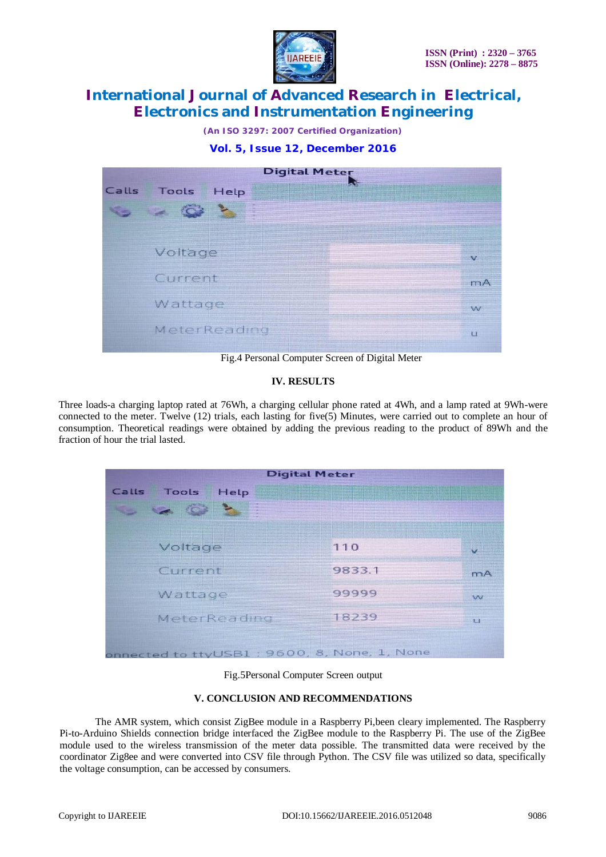

*(An ISO 3297: 2007 Certified Organization)*





Fig.4 Personal Computer Screen of Digital Meter

### **IV. RESULTS**

Three loads-a charging laptop rated at 76Wh, a charging cellular phone rated at 4Wh, and a lamp rated at 9Wh-were connected to the meter. Twelve (12) trials, each lasting for five(5) Minutes, were carried out to complete an hour of consumption. Theoretical readings were obtained by adding the previous reading to the product of 89Wh and the fraction of hour the trial lasted.

| <b>Digital Meter</b>                        |        |       |
|---------------------------------------------|--------|-------|
| <b>Tools</b><br>Calls<br>Help               |        |       |
| 7. -                                        |        |       |
|                                             |        |       |
| Voltage                                     | 110    |       |
| Current                                     | 9833.1 | $m+2$ |
| Wattage                                     | 99999  | 27.77 |
| MeterReading                                | 18239  | E     |
| onnected to ttyUSB1: 9600, 8, None, 1, None |        |       |

Fig.5Personal Computer Screen output

### **V. CONCLUSION AND RECOMMENDATIONS**

The AMR system, which consist ZigBee module in a Raspberry Pi,been cleary implemented. The Raspberry Pi-to-Arduino Shields connection bridge interfaced the ZigBee module to the Raspberry Pi. The use of the ZigBee module used to the wireless transmission of the meter data possible. The transmitted data were received by the coordinator Zig8ee and were converted into CSV file through Python. The CSV file was utilized so data, specifically the voltage consumption, can be accessed by consumers.